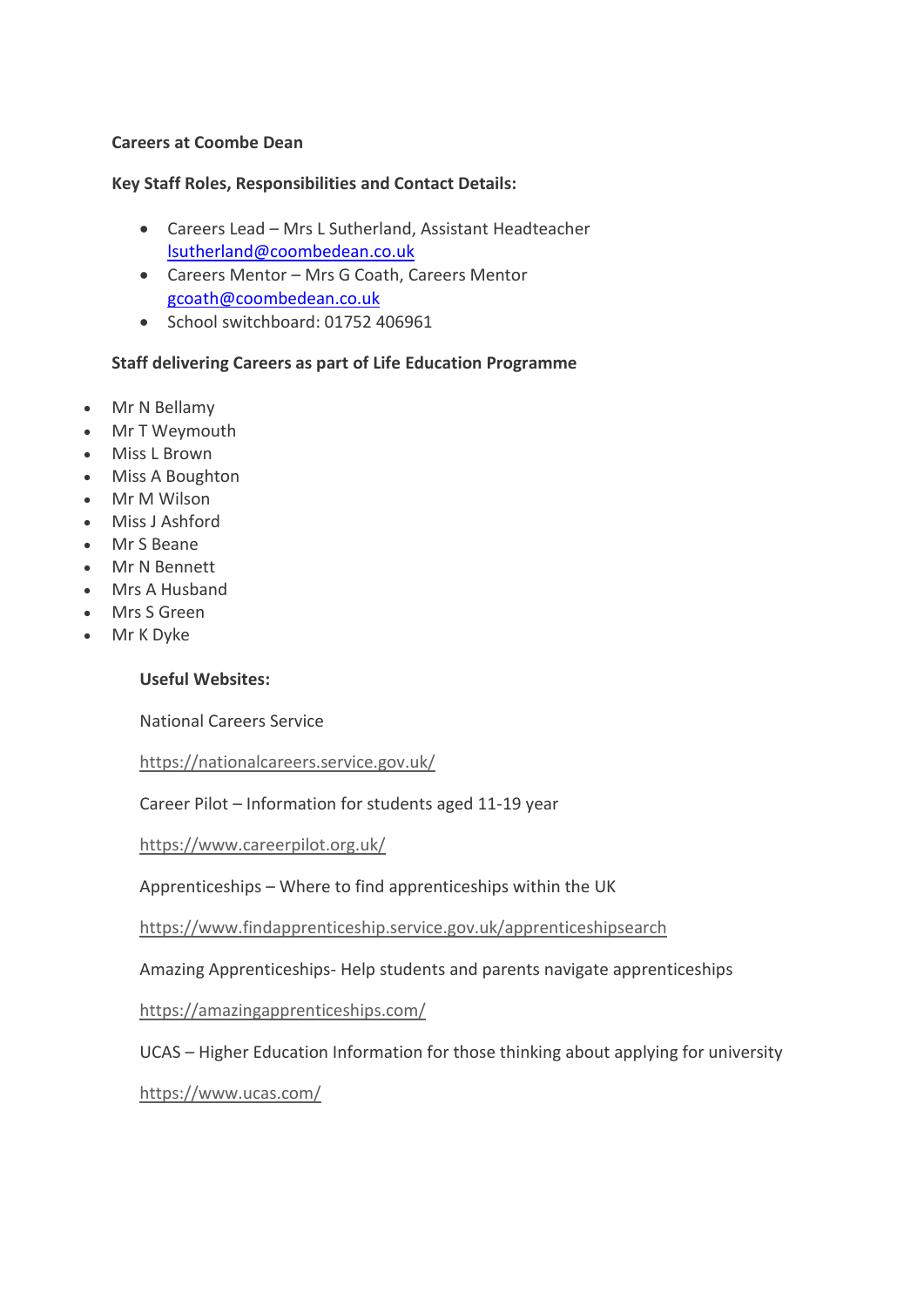#### **Careers at Coombe Dean**

#### **Key Staff Roles, Responsibilities and Contact Details:**

- Careers Lead Mrs L Sutherland, Assistant Headteacher [lsutherland@coombedean.co.uk](mailto:lsutherland@coombedean.co.uk)
- Careers Mentor Mrs G Coath, Careers Mentor [gcoath@coombedean.co.uk](mailto:gcoath@coombedean.co.uk)
- School switchboard: 01752 406961

# **Staff delivering Careers as part of Life Education Programme**

- Mr N Bellamy
- Mr T Weymouth
- Miss L Brown
- Miss A Boughton
- Mr M Wilson
- Miss J Ashford
- Mr S Beane
- Mr N Bennett
- Mrs A Husband
- Mrs S Green
- Mr K Dyke

# **Useful Websites:**

National Careers Service

<https://nationalcareers.service.gov.uk/>

Career Pilot – Information for students aged 11-19 year

<https://www.careerpilot.org.uk/>

Apprenticeships – Where to find apprenticeships within the UK

<https://www.findapprenticeship.service.gov.uk/apprenticeshipsearch>

Amazing Apprenticeships- Help students and parents navigate apprenticeships

<https://amazingapprenticeships.com/>

UCAS – Higher Education Information for those thinking about applying for university

<https://www.ucas.com/>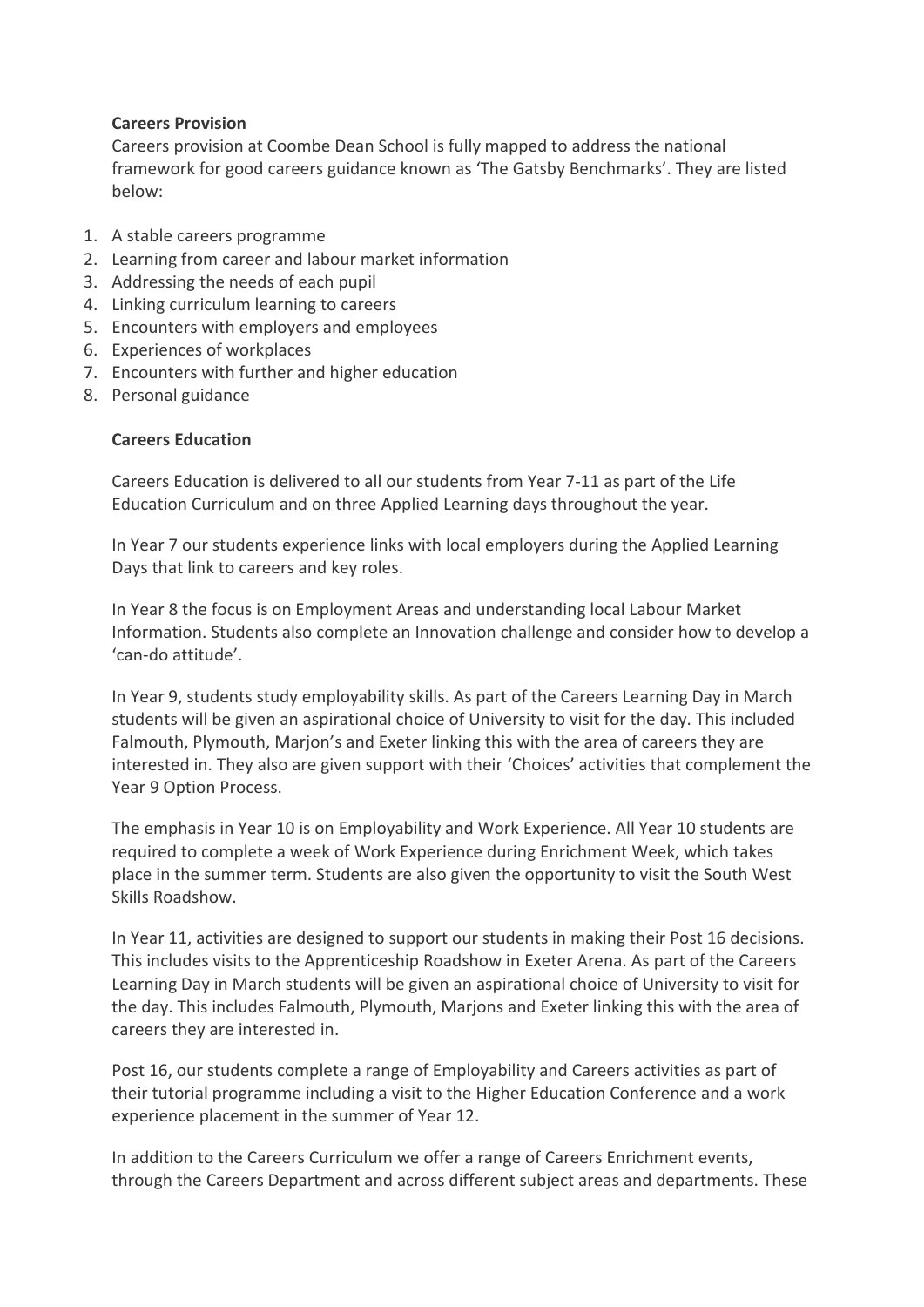# **Careers Provision**

Careers provision at Coombe Dean School is fully mapped to address the national framework for good careers guidance known as 'The Gatsby Benchmarks'. They are listed below:

- 1. A stable careers programme
- 2. Learning from career and labour market information
- 3. Addressing the needs of each pupil
- 4. Linking curriculum learning to careers
- 5. Encounters with employers and employees
- 6. Experiences of workplaces
- 7. Encounters with further and higher education
- 8. Personal guidance

# **Careers Education**

Careers Education is delivered to all our students from Year 7-11 as part of the Life Education Curriculum and on three Applied Learning days throughout the year.

In Year 7 our students experience links with local employers during the Applied Learning Days that link to careers and key roles.

In Year 8 the focus is on Employment Areas and understanding local Labour Market Information. Students also complete an Innovation challenge and consider how to develop a 'can-do attitude'.

In Year 9, students study employability skills. As part of the Careers Learning Day in March students will be given an aspirational choice of University to visit for the day. This included Falmouth, Plymouth, Marjon's and Exeter linking this with the area of careers they are interested in. They also are given support with their 'Choices' activities that complement the Year 9 Option Process.

The emphasis in Year 10 is on Employability and Work Experience. All Year 10 students are required to complete a week of Work Experience during Enrichment Week, which takes place in the summer term. Students are also given the opportunity to visit the South West Skills Roadshow.

In Year 11, activities are designed to support our students in making their Post 16 decisions. This includes visits to the Apprenticeship Roadshow in Exeter Arena. As part of the Careers Learning Day in March students will be given an aspirational choice of University to visit for the day. This includes Falmouth, Plymouth, Marjons and Exeter linking this with the area of careers they are interested in.

Post 16, our students complete a range of Employability and Careers activities as part of their tutorial programme including a visit to the Higher Education Conference and a work experience placement in the summer of Year 12.

In addition to the Careers Curriculum we offer a range of Careers Enrichment events, through the Careers Department and across different subject areas and departments. These